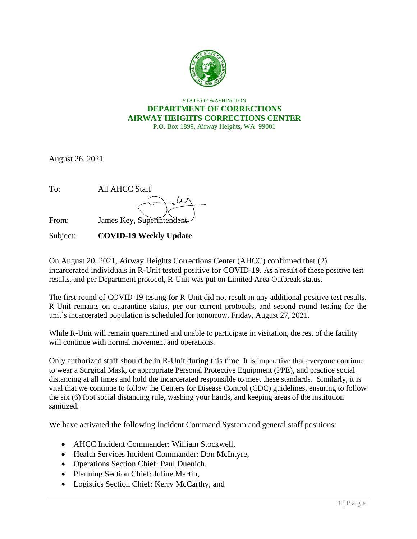

## STATE OF WASHINGTON **DEPARTMENT OF CORRECTIONS AIRWAY HEIGHTS CORRECTIONS CENTER** P.O. Box 1899, Airway Heights, WA 99001

August 26, 2021

| To:   | <b>All AHCC Staff</b>     |
|-------|---------------------------|
|       |                           |
| From: | James Key, Superintendent |
|       |                           |

Subject: **COVID-19 Weekly Update** 

On August 20, 2021, Airway Heights Corrections Center (AHCC) confirmed that (2) incarcerated individuals in R-Unit tested positive for COVID-19. As a result of these positive test results, and per Department protocol, R-Unit was put on Limited Area Outbreak status.

The first round of COVID-19 testing for R-Unit did not result in any additional positive test results. R-Unit remains on quarantine status, per our current protocols, and second round testing for the unit's incarcerated population is scheduled for tomorrow, Friday, August 27, 2021.

While R-Unit will remain quarantined and unable to participate in visitation, the rest of the facility will continue with normal movement and operations.

Only authorized staff should be in R-Unit during this time. It is imperative that everyone continue to wear a Surgical Mask, or appropriate [Personal Protective Equipment \(PPE\),](https://www.doc.wa.gov/corrections/covid-19/docs/ppe-matrix.pdf) and practice social distancing at all times and hold the incarcerated responsible to meet these standards. Similarly, it is vital that we continue to follow the [Centers for Disease Control \(CDC\) guidelines,](https://www.cdc.gov/coronavirus/2019-ncov/index.html) ensuring to follow the six (6) foot social distancing rule, washing your hands, and keeping areas of the institution sanitized.

We have activated the following Incident Command System and general staff positions:

- AHCC Incident Commander: William Stockwell,
- Health Services Incident Commander: Don McIntyre,
- Operations Section Chief: Paul Duenich,
- Planning Section Chief: Juline Martin,
- Logistics Section Chief: Kerry McCarthy, and